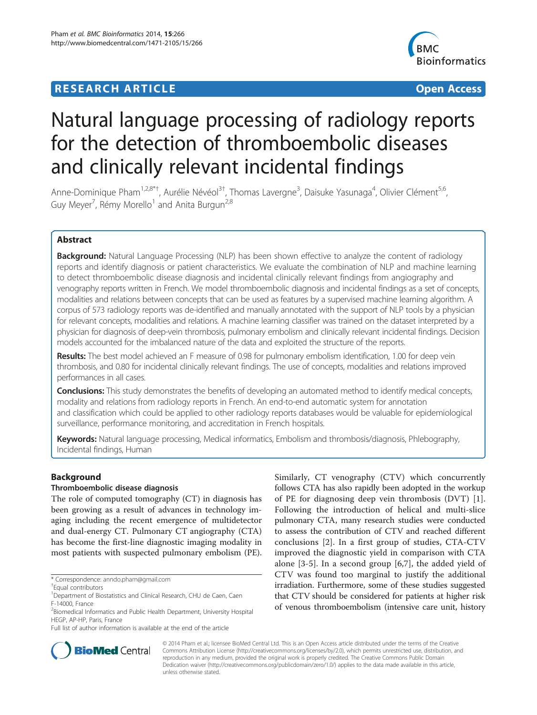## **RESEARCH ARTICLE Example 2014 12:30 The Contract of Contract Contract Contract Contract Contract Contract Contract Contract Contract Contract Contract Contract Contract Contract Contract Contract Contract Contract Contr**



# Natural language processing of radiology reports for the detection of thromboembolic diseases and clinically relevant incidental findings

Anne-Dominique Pham<sup>1,2,8\*†</sup>, Aurélie Névéol<sup>3†</sup>, Thomas Lavergne<sup>3</sup>, Daisuke Yasunaga<sup>4</sup>, Olivier Clément<sup>5,6</sup>, Guy Meyer<sup>7</sup>, Rémy Morello<sup>1</sup> and Anita Burgun<sup>2,8</sup>

## Abstract

**Background:** Natural Language Processing (NLP) has been shown effective to analyze the content of radiology reports and identify diagnosis or patient characteristics. We evaluate the combination of NLP and machine learning to detect thromboembolic disease diagnosis and incidental clinically relevant findings from angiography and venography reports written in French. We model thromboembolic diagnosis and incidental findings as a set of concepts, modalities and relations between concepts that can be used as features by a supervised machine learning algorithm. A corpus of 573 radiology reports was de-identified and manually annotated with the support of NLP tools by a physician for relevant concepts, modalities and relations. A machine learning classifier was trained on the dataset interpreted by a physician for diagnosis of deep-vein thrombosis, pulmonary embolism and clinically relevant incidental findings. Decision models accounted for the imbalanced nature of the data and exploited the structure of the reports.

Results: The best model achieved an F measure of 0.98 for pulmonary embolism identification, 1.00 for deep vein thrombosis, and 0.80 for incidental clinically relevant findings. The use of concepts, modalities and relations improved performances in all cases.

Conclusions: This study demonstrates the benefits of developing an automated method to identify medical concepts, modality and relations from radiology reports in French. An end-to-end automatic system for annotation and classification which could be applied to other radiology reports databases would be valuable for epidemiological surveillance, performance monitoring, and accreditation in French hospitals.

Keywords: Natural language processing, Medical informatics, Embolism and thrombosis/diagnosis, Phlebography, Incidental findings, Human

## Background

## Thromboembolic disease diagnosis

The role of computed tomography (CT) in diagnosis has been growing as a result of advances in technology imaging including the recent emergence of multidetector and dual-energy CT. Pulmonary CT angiography (CTA) has become the first-line diagnostic imaging modality in most patients with suspected pulmonary embolism (PE).

Similarly, CT venography (CTV) which concurrently follows CTA has also rapidly been adopted in the workup of PE for diagnosing deep vein thrombosis (DVT) [\[1](#page-8-0)]. Following the introduction of helical and multi-slice pulmonary CTA, many research studies were conducted to assess the contribution of CTV and reached different conclusions [[2\]](#page-8-0). In a first group of studies, CTA-CTV improved the diagnostic yield in comparison with CTA alone [[3-5\]](#page-8-0). In a second group [[6,7](#page-8-0)], the added yield of CTV was found too marginal to justify the additional irradiation. Furthermore, some of these studies suggested that CTV should be considered for patients at higher risk of venous thromboembolism (intensive care unit, history



© 2014 Pham et al.; licensee BioMed Central Ltd. This is an Open Access article distributed under the terms of the Creative Commons Attribution License [\(http://creativecommons.org/licenses/by/2.0\)](http://creativecommons.org/licenses/by/2.0), which permits unrestricted use, distribution, and reproduction in any medium, provided the original work is properly credited. The Creative Commons Public Domain Dedication waiver [\(http://creativecommons.org/publicdomain/zero/1.0/](http://creativecommons.org/publicdomain/zero/1.0/)) applies to the data made available in this article, unless otherwise stated.

<sup>\*</sup> Correspondence: [anndo.pham@gmail.com](mailto:anndo.pham@gmail.com) †

Equal contributors

<sup>&</sup>lt;sup>1</sup> Department of Biostatistics and Clinical Research, CHU de Caen, Caen F-14000, France

<sup>&</sup>lt;sup>2</sup> Biomedical Informatics and Public Health Department, University Hospital HEGP, AP-HP, Paris, France

Full list of author information is available at the end of the article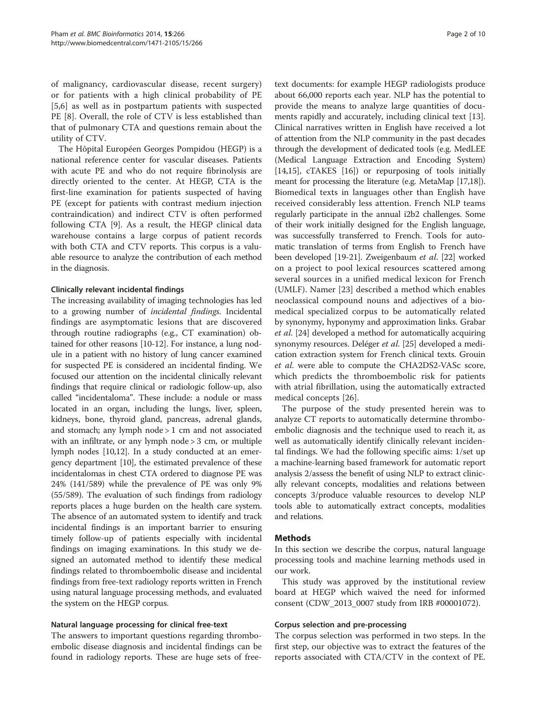of malignancy, cardiovascular disease, recent surgery) or for patients with a high clinical probability of PE [[5,6](#page-8-0)] as well as in postpartum patients with suspected PE [\[8](#page-8-0)]. Overall, the role of CTV is less established than that of pulmonary CTA and questions remain about the utility of CTV.

The Hôpital Européen Georges Pompidou (HEGP) is a national reference center for vascular diseases. Patients with acute PE and who do not require fibrinolysis are directly oriented to the center. At HEGP, CTA is the first-line examination for patients suspected of having PE (except for patients with contrast medium injection contraindication) and indirect CTV is often performed following CTA [[9\]](#page-8-0). As a result, the HEGP clinical data warehouse contains a large corpus of patient records with both CTA and CTV reports. This corpus is a valuable resource to analyze the contribution of each method in the diagnosis.

#### Clinically relevant incidental findings

The increasing availability of imaging technologies has led to a growing number of incidental findings. Incidental findings are asymptomatic lesions that are discovered through routine radiographs (e.g., CT examination) obtained for other reasons [[10](#page-8-0)-[12](#page-8-0)]. For instance, a lung nodule in a patient with no history of lung cancer examined for suspected PE is considered an incidental finding. We focused our attention on the incidental clinically relevant findings that require clinical or radiologic follow-up, also called "incidentaloma". These include: a nodule or mass located in an organ, including the lungs, liver, spleen, kidneys, bone, thyroid gland, pancreas, adrenal glands, and stomach; any lymph node > 1 cm and not associated with an infiltrate, or any lymph node > 3 cm, or multiple lymph nodes [\[10,12](#page-8-0)]. In a study conducted at an emergency department [\[10\]](#page-8-0), the estimated prevalence of these incidentalomas in chest CTA ordered to diagnose PE was 24% (141/589) while the prevalence of PE was only 9% (55/589). The evaluation of such findings from radiology reports places a huge burden on the health care system. The absence of an automated system to identify and track incidental findings is an important barrier to ensuring timely follow-up of patients especially with incidental findings on imaging examinations. In this study we designed an automated method to identify these medical findings related to thromboembolic disease and incidental findings from free-text radiology reports written in French using natural language processing methods, and evaluated the system on the HEGP corpus.

#### Natural language processing for clinical free-text

The answers to important questions regarding thromboembolic disease diagnosis and incidental findings can be found in radiology reports. These are huge sets of freetext documents: for example HEGP radiologists produce about 66,000 reports each year. NLP has the potential to provide the means to analyze large quantities of documents rapidly and accurately, including clinical text [\[13](#page-8-0)]. Clinical narratives written in English have received a lot of attention from the NLP community in the past decades through the development of dedicated tools (e.g. MedLEE (Medical Language Extraction and Encoding System) [[14](#page-8-0),[15](#page-8-0)], cTAKES [\[16\]](#page-8-0)) or repurposing of tools initially meant for processing the literature (e.g. MetaMap [[17,18](#page-8-0)]). Biomedical texts in languages other than English have received considerably less attention. French NLP teams regularly participate in the annual i2b2 challenges. Some of their work initially designed for the English language, was successfully transferred to French. Tools for automatic translation of terms from English to French have been developed [\[19-21\]](#page-8-0). Zweigenbaum et al. [[22](#page-8-0)] worked on a project to pool lexical resources scattered among several sources in a unified medical lexicon for French (UMLF). Namer [[23\]](#page-8-0) described a method which enables neoclassical compound nouns and adjectives of a biomedical specialized corpus to be automatically related by synonymy, hyponymy and approximation links. Grabar et al. [[24](#page-8-0)] developed a method for automatically acquiring synonymy resources. Deléger et al. [\[25](#page-8-0)] developed a medication extraction system for French clinical texts. Grouin et al. were able to compute the CHA2DS2-VASc score, which predicts the thromboembolic risk for patients with atrial fibrillation, using the automatically extracted medical concepts [[26\]](#page-8-0).

The purpose of the study presented herein was to analyze CT reports to automatically determine thromboembolic diagnosis and the technique used to reach it, as well as automatically identify clinically relevant incidental findings. We had the following specific aims: 1/set up a machine-learning based framework for automatic report analysis 2/assess the benefit of using NLP to extract clinically relevant concepts, modalities and relations between concepts 3/produce valuable resources to develop NLP tools able to automatically extract concepts, modalities and relations.

## Methods

In this section we describe the corpus, natural language processing tools and machine learning methods used in our work.

This study was approved by the institutional review board at HEGP which waived the need for informed consent (CDW\_2013\_0007 study from IRB #00001072).

#### Corpus selection and pre-processing

The corpus selection was performed in two steps. In the first step, our objective was to extract the features of the reports associated with CTA/CTV in the context of PE.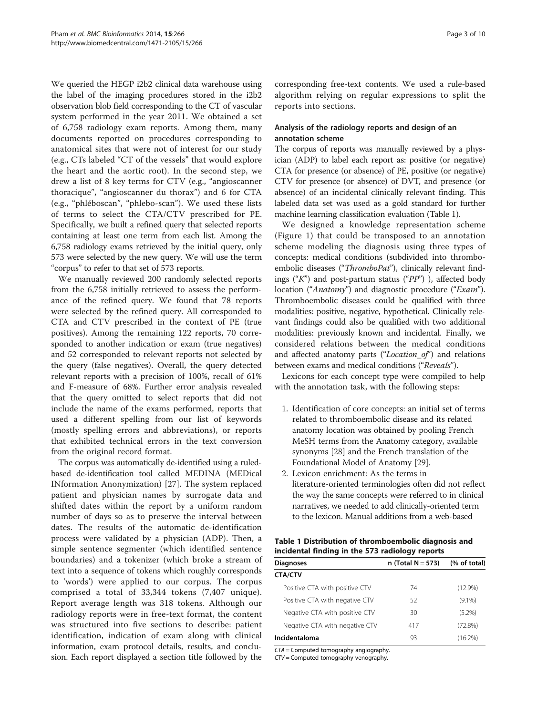<span id="page-2-0"></span>We queried the HEGP i2b2 clinical data warehouse using the label of the imaging procedures stored in the i2b2 observation blob field corresponding to the CT of vascular system performed in the year 2011. We obtained a set of 6,758 radiology exam reports. Among them, many documents reported on procedures corresponding to anatomical sites that were not of interest for our study (e.g., CTs labeled "CT of the vessels" that would explore the heart and the aortic root). In the second step, we drew a list of 8 key terms for CTV (e.g., "angioscanner thoracique", "angioscanner du thorax") and 6 for CTA (e.g., "phléboscan", "phlebo-scan"). We used these lists of terms to select the CTA/CTV prescribed for PE. Specifically, we built a refined query that selected reports containing at least one term from each list. Among the 6,758 radiology exams retrieved by the initial query, only 573 were selected by the new query. We will use the term "corpus" to refer to that set of 573 reports.

We manually reviewed 200 randomly selected reports from the 6,758 initially retrieved to assess the performance of the refined query. We found that 78 reports were selected by the refined query. All corresponded to CTA and CTV prescribed in the context of PE (true positives). Among the remaining 122 reports, 70 corresponded to another indication or exam (true negatives) and 52 corresponded to relevant reports not selected by the query (false negatives). Overall, the query detected relevant reports with a precision of 100%, recall of 61% and F-measure of 68%. Further error analysis revealed that the query omitted to select reports that did not include the name of the exams performed, reports that used a different spelling from our list of keywords (mostly spelling errors and abbreviations), or reports that exhibited technical errors in the text conversion from the original record format.

The corpus was automatically de-identified using a ruledbased de-identification tool called MEDINA (MEDical INformation Anonymization) [[27](#page-8-0)]. The system replaced patient and physician names by surrogate data and shifted dates within the report by a uniform random number of days so as to preserve the interval between dates. The results of the automatic de-identification process were validated by a physician (ADP). Then, a simple sentence segmenter (which identified sentence boundaries) and a tokenizer (which broke a stream of text into a sequence of tokens which roughly corresponds to 'words') were applied to our corpus. The corpus comprised a total of 33,344 tokens (7,407 unique). Report average length was 318 tokens. Although our radiology reports were in free-text format, the content was structured into five sections to describe: patient identification, indication of exam along with clinical information, exam protocol details, results, and conclusion. Each report displayed a section title followed by the corresponding free-text contents. We used a rule-based algorithm relying on regular expressions to split the reports into sections.

## Analysis of the radiology reports and design of an annotation scheme

The corpus of reports was manually reviewed by a physician (ADP) to label each report as: positive (or negative) CTA for presence (or absence) of PE, positive (or negative) CTV for presence (or absence) of DVT, and presence (or absence) of an incidental clinically relevant finding. This labeled data set was used as a gold standard for further machine learning classification evaluation (Table 1).

We designed a knowledge representation scheme (Figure [1](#page-3-0)) that could be transposed to an annotation scheme modeling the diagnosis using three types of concepts: medical conditions (subdivided into thromboembolic diseases ("ThromboPat"), clinically relevant findings ("K") and post-partum status ("PP") ), affected body location ("Anatomy") and diagnostic procedure ("Exam"). Thromboembolic diseases could be qualified with three modalities: positive, negative, hypothetical. Clinically relevant findings could also be qualified with two additional modalities: previously known and incidental. Finally, we considered relations between the medical conditions and affected anatomy parts ("Location\_of") and relations between exams and medical conditions ("Reveals").

Lexicons for each concept type were compiled to help with the annotation task, with the following steps:

- 1. Identification of core concepts: an initial set of terms related to thromboembolic disease and its related anatomy location was obtained by pooling French MeSH terms from the Anatomy category, available synonyms [\[28\]](#page-8-0) and the French translation of the Foundational Model of Anatomy [[29](#page-8-0)].
- 2. Lexicon enrichment: As the terms in literature-oriented terminologies often did not reflect the way the same concepts were referred to in clinical narratives, we needed to add clinically-oriented term to the lexicon. Manual additions from a web-based

| Table 1 Distribution of thromboembolic diagnosis and |  |
|------------------------------------------------------|--|
| incidental finding in the 573 radiology reports      |  |

| <b>Diagnoses</b>               | n (Total $N = 573$ ) | (% of total) |  |
|--------------------------------|----------------------|--------------|--|
| <b>CTA/CTV</b>                 |                      |              |  |
| Positive CTA with positive CTV | 74                   | $(12.9\%)$   |  |
| Positive CTA with negative CTV | 52                   | $(9.1\%)$    |  |
| Negative CTA with positive CTV | 30                   | $(5.2\%)$    |  |
| Negative CTA with negative CTV | 417                  | $(72.8\%)$   |  |
| Incidentaloma                  | 93                   | $(16.2\%)$   |  |

CTA = Computed tomography angiography.

CTV = Computed tomography venography.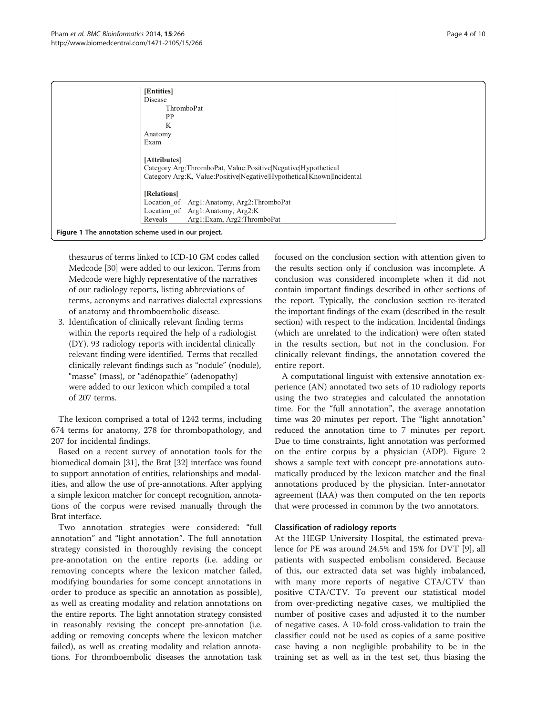<span id="page-3-0"></span>

| [Entities]                                                            |  |
|-----------------------------------------------------------------------|--|
| Disease                                                               |  |
| ThromboPat                                                            |  |
| PP                                                                    |  |
| K                                                                     |  |
| Anatomy                                                               |  |
| Exam                                                                  |  |
|                                                                       |  |
| [Attributes]                                                          |  |
| Category Arg:ThromboPat, Value:Positive Negative Hypothetical         |  |
| Category Arg:K, Value:Positive Negative Hypothetical Known Incidental |  |
|                                                                       |  |
| [Relations]                                                           |  |
| Location of Arg1:Anatomy, Arg2:ThromboPat                             |  |
| Location of Arg1:Anatomy, Arg2:K                                      |  |
| Arg1:Exam, Arg2:ThromboPat<br>Reveals                                 |  |
| Figure 1 The annotation scheme used in our project.                   |  |

thesaurus of terms linked to ICD-10 GM codes called Medcode [[30](#page-8-0)] were added to our lexicon. Terms from Medcode were highly representative of the narratives of our radiology reports, listing abbreviations of terms, acronyms and narratives dialectal expressions of anatomy and thromboembolic disease.

3. Identification of clinically relevant finding terms within the reports required the help of a radiologist (DY). 93 radiology reports with incidental clinically relevant finding were identified. Terms that recalled clinically relevant findings such as "nodule" (nodule), "masse" (mass), or "adénopathie" (adenopathy) were added to our lexicon which compiled a total of 207 terms.

The lexicon comprised a total of 1242 terms, including 674 terms for anatomy, 278 for thrombopathology, and 207 for incidental findings.

Based on a recent survey of annotation tools for the biomedical domain [[31](#page-8-0)], the Brat [[32\]](#page-8-0) interface was found to support annotation of entities, relationships and modalities, and allow the use of pre-annotations. After applying a simple lexicon matcher for concept recognition, annotations of the corpus were revised manually through the Brat interface.

Two annotation strategies were considered: "full annotation" and "light annotation". The full annotation strategy consisted in thoroughly revising the concept pre-annotation on the entire reports (i.e. adding or removing concepts where the lexicon matcher failed, modifying boundaries for some concept annotations in order to produce as specific an annotation as possible), as well as creating modality and relation annotations on the entire reports. The light annotation strategy consisted in reasonably revising the concept pre-annotation (i.e. adding or removing concepts where the lexicon matcher failed), as well as creating modality and relation annotations. For thromboembolic diseases the annotation task focused on the conclusion section with attention given to the results section only if conclusion was incomplete. A conclusion was considered incomplete when it did not contain important findings described in other sections of the report. Typically, the conclusion section re-iterated the important findings of the exam (described in the result section) with respect to the indication. Incidental findings (which are unrelated to the indication) were often stated in the results section, but not in the conclusion. For clinically relevant findings, the annotation covered the entire report.

A computational linguist with extensive annotation experience (AN) annotated two sets of 10 radiology reports using the two strategies and calculated the annotation time. For the "full annotation", the average annotation time was 20 minutes per report. The "light annotation" reduced the annotation time to 7 minutes per report. Due to time constraints, light annotation was performed on the entire corpus by a physician (ADP). Figure [2](#page-4-0) shows a sample text with concept pre-annotations automatically produced by the lexicon matcher and the final annotations produced by the physician. Inter-annotator agreement (IAA) was then computed on the ten reports that were processed in common by the two annotators.

#### Classification of radiology reports

At the HEGP University Hospital, the estimated prevalence for PE was around 24.5% and 15% for DVT [[9\]](#page-8-0), all patients with suspected embolism considered. Because of this, our extracted data set was highly imbalanced, with many more reports of negative CTA/CTV than positive CTA/CTV. To prevent our statistical model from over-predicting negative cases, we multiplied the number of positive cases and adjusted it to the number of negative cases. A 10-fold cross-validation to train the classifier could not be used as copies of a same positive case having a non negligible probability to be in the training set as well as in the test set, thus biasing the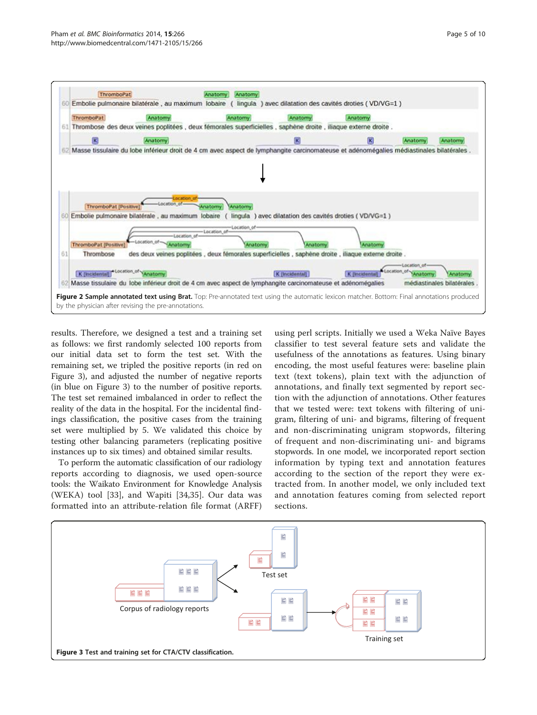<span id="page-4-0"></span>

results. Therefore, we designed a test and a training set as follows: we first randomly selected 100 reports from our initial data set to form the test set. With the remaining set, we tripled the positive reports (in red on Figure 3), and adjusted the number of negative reports (in blue on Figure 3) to the number of positive reports. The test set remained imbalanced in order to reflect the reality of the data in the hospital. For the incidental findings classification, the positive cases from the training set were multiplied by 5. We validated this choice by testing other balancing parameters (replicating positive instances up to six times) and obtained similar results.

To perform the automatic classification of our radiology reports according to diagnosis, we used open-source tools: the Waikato Environment for Knowledge Analysis (WEKA) tool [[33\]](#page-8-0), and Wapiti [[34,35\]](#page-8-0). Our data was formatted into an attribute-relation file format (ARFF)

using perl scripts. Initially we used a Weka Naïve Bayes classifier to test several feature sets and validate the usefulness of the annotations as features. Using binary encoding, the most useful features were: baseline plain text (text tokens), plain text with the adjunction of annotations, and finally text segmented by report section with the adjunction of annotations. Other features that we tested were: text tokens with filtering of unigram, filtering of uni- and bigrams, filtering of frequent and non-discriminating unigram stopwords, filtering of frequent and non-discriminating uni- and bigrams stopwords. In one model, we incorporated report section information by typing text and annotation features according to the section of the report they were extracted from. In another model, we only included text and annotation features coming from selected report sections.

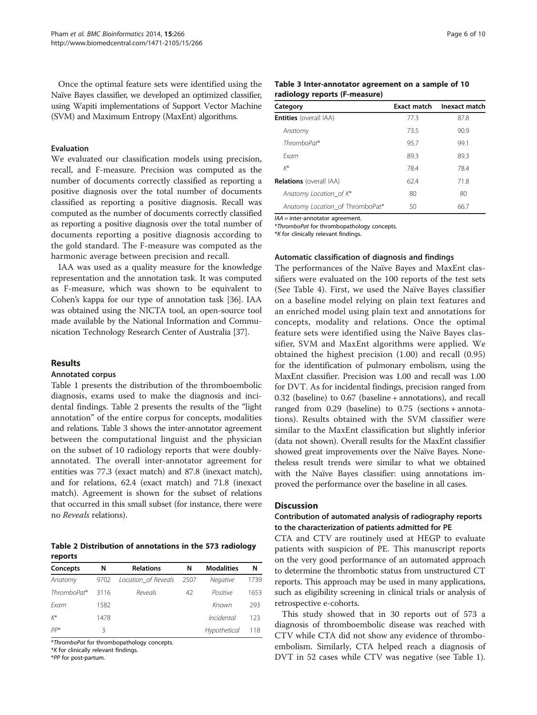<span id="page-5-0"></span>Once the optimal feature sets were identified using the Naïve Bayes classifier, we developed an optimized classifier, using Wapiti implementations of Support Vector Machine (SVM) and Maximum Entropy (MaxEnt) algorithms.

## Evaluation

We evaluated our classification models using precision, recall, and F-measure. Precision was computed as the number of documents correctly classified as reporting a positive diagnosis over the total number of documents classified as reporting a positive diagnosis. Recall was computed as the number of documents correctly classified as reporting a positive diagnosis over the total number of documents reporting a positive diagnosis according to the gold standard. The F-measure was computed as the harmonic average between precision and recall.

IAA was used as a quality measure for the knowledge representation and the annotation task. It was computed as F-measure, which was shown to be equivalent to Cohen's kappa for our type of annotation task [[36\]](#page-9-0). IAA was obtained using the NICTA tool, an open-source tool made available by the National Information and Communication Technology Research Center of Australia [[37](#page-9-0)].

#### Results

## Annotated corpus

Table [1](#page-2-0) presents the distribution of the thromboembolic diagnosis, exams used to make the diagnosis and incidental findings. Table 2 presents the results of the "light annotation" of the entire corpus for concepts, modalities and relations. Table 3 shows the inter-annotator agreement between the computational linguist and the physician on the subset of 10 radiology reports that were doublyannotated. The overall inter-annotator agreement for entities was 77.3 (exact match) and 87.8 (inexact match), and for relations, 62.4 (exact match) and 71.8 (inexact match). Agreement is shown for the subset of relations that occurred in this small subset (for instance, there were no Reveals relations).

Table 2 Distribution of annotations in the 573 radiology reports

| Concepts    | N    | <b>Relations</b>    | N    | <b>Modalities</b>               | N    |
|-------------|------|---------------------|------|---------------------------------|------|
| Anatomy     | 9702 | Location of Reveals | 2507 | Negative                        | 1739 |
| ThromboPat* | 3116 | Reveals             | 42   | Positive                        | 1653 |
| Fxam        | 1582 |                     |      | Known                           | 293  |
| $K^*$       | 1478 |                     |      | <i><u><b>Incidental</b></u></i> | 123  |
| $PP*$       | ζ    |                     |      | Hypothetical                    | 118  |

\*ThromboPat for thrombopathology concepts.

\*K for clinically relevant findings.

\*PP for post-partum.

#### Table 3 Inter-annotator agreement on a sample of 10 radiology reports (F-measure)

| Category                        | Exact match | Inexact match |
|---------------------------------|-------------|---------------|
| <b>Entities</b> (overall IAA)   | 77.3        | 87.8          |
| Anatomy                         | 73.5        | 90.9          |
| ThromboPat*                     | 95.7        | 99.1          |
| Fxam                            | 89.3        | 89.3          |
| $K^*$                           | 78.4        | 78.4          |
| <b>Relations</b> (overall IAA)  | 62.4        | 71.8          |
| Anatomy Location of K*          | 80          | 80            |
| Anatomy Location_of ThromboPat* | 50          | 66.7          |

IAA = inter-annotator agreement.

\*ThromboPat for thrombopathology concepts.

\*K for clinically relevant findings.

#### Automatic classification of diagnosis and findings

The performances of the Naïve Bayes and MaxEnt classifiers were evaluated on the 100 reports of the test sets (See Table [4](#page-6-0)). First, we used the Naïve Bayes classifier on a baseline model relying on plain text features and an enriched model using plain text and annotations for concepts, modality and relations. Once the optimal feature sets were identified using the Naïve Bayes classifier, SVM and MaxEnt algorithms were applied. We obtained the highest precision (1.00) and recall (0.95) for the identification of pulmonary embolism, using the MaxEnt classifier. Precision was 1.00 and recall was 1.00 for DVT. As for incidental findings, precision ranged from 0.32 (baseline) to 0.67 (baseline + annotations), and recall ranged from 0.29 (baseline) to 0.75 (sections + annotations). Results obtained with the SVM classifier were similar to the MaxEnt classification but slightly inferior (data not shown). Overall results for the MaxEnt classifier showed great improvements over the Naïve Bayes. Nonetheless result trends were similar to what we obtained with the Naïve Bayes classifier: using annotations improved the performance over the baseline in all cases.

#### **Discussion**

### Contribution of automated analysis of radiography reports to the characterization of patients admitted for PE

CTA and CTV are routinely used at HEGP to evaluate patients with suspicion of PE. This manuscript reports on the very good performance of an automated approach to determine the thrombotic status from unstructured CT reports. This approach may be used in many applications, such as eligibility screening in clinical trials or analysis of retrospective e-cohorts.

This study showed that in 30 reports out of 573 a diagnosis of thromboembolic disease was reached with CTV while CTA did not show any evidence of thromboembolism. Similarly, CTA helped reach a diagnosis of DVT in 52 cases while CTV was negative (see Table [1](#page-2-0)).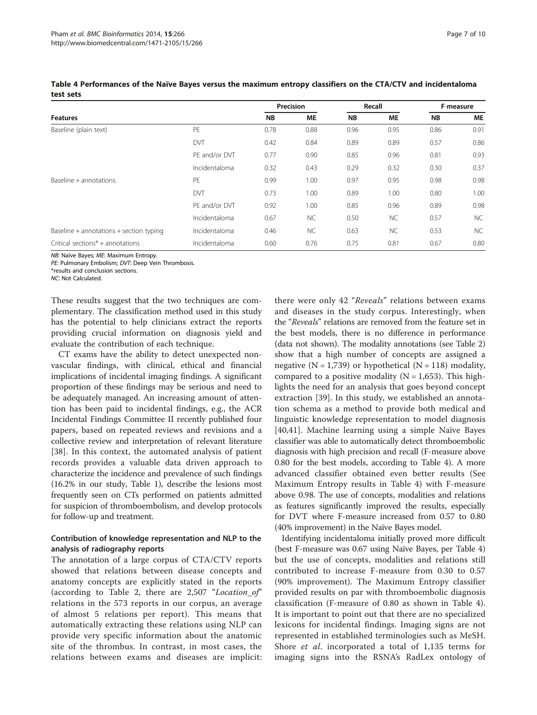|                                         |               | Precision |           | Recall    |           | F-measure |      |
|-----------------------------------------|---------------|-----------|-----------|-----------|-----------|-----------|------|
| <b>Features</b>                         |               | <b>NB</b> | <b>ME</b> | <b>NB</b> | <b>ME</b> | <b>NB</b> | ME   |
| Baseline (plain text)                   | PF            | 0.78      | 0.88      | 0.96      | 0.95      | 0.86      | 0.91 |
|                                         | <b>DVT</b>    | 0.42      | 0.84      | 0.89      | 0.89      | 0.57      | 0.86 |
|                                         | PF and/or DVT | 0.77      | 0.90      | 0.85      | 0.96      | 0.81      | 0.93 |
|                                         | Incidentaloma | 0.32      | 0.43      | 0.29      | 0.32      | 0.30      | 0.37 |
| Baseline + annotations                  | <b>PF</b>     | 0.99      | 1.00      | 0.97      | 0.95      | 0.98      | 0.98 |
|                                         | <b>DVT</b>    | 0.73      | 1.00      | 0.89      | 1.00      | 0.80      | 1.00 |
|                                         | PE and/or DVT | 0.92      | 1.00      | 0.85      | 0.96      | 0.89      | 0.98 |
|                                         | Incidentaloma | 0.67      | NC.       | 0.50      | NC.       | 0.57      | NC.  |
| Baseline + annotations + section typing | Incidentaloma | 0.46      | NC.       | 0.63      | <b>NC</b> | 0.53      | NC.  |
| Critical sections* + annotations        | Incidentaloma | 0.60      | 0.76      | 0.75      | 0.81      | 0.67      | 0.80 |

<span id="page-6-0"></span>Table 4 Performances of the Naïve Bayes versus the maximum entropy classifiers on the CTA/CTV and incidentaloma test sets

NB: Naïve Bayes; ME: Maximum Entropy.

PE: Pulmonary Embolism; DVT: Deep Vein Thrombosis.

\*results and conclusion sections.

NC: Not Calculated.

These results suggest that the two techniques are complementary. The classification method used in this study has the potential to help clinicians extract the reports providing crucial information on diagnosis yield and evaluate the contribution of each technique.

CT exams have the ability to detect unexpected nonvascular findings, with clinical, ethical and financial implications of incidental imaging findings. A significant proportion of these findings may be serious and need to be adequately managed. An increasing amount of attention has been paid to incidental findings, e.g., the ACR Incidental Findings Committee II recently published four papers, based on repeated reviews and revisions and a collective review and interpretation of relevant literature [[38\]](#page-9-0). In this context, the automated analysis of patient records provides a valuable data driven approach to characterize the incidence and prevalence of such findings (16.2% in our study, Table [1\)](#page-2-0), describe the lesions most frequently seen on CTs performed on patients admitted for suspicion of thromboembolism, and develop protocols for follow-up and treatment.

## Contribution of knowledge representation and NLP to the analysis of radiography reports

The annotation of a large corpus of CTA/CTV reports showed that relations between disease concepts and anatomy concepts are explicitly stated in the reports (according to Table [2,](#page-5-0) there are 2,507 "Location\_of" relations in the 573 reports in our corpus, an average of almost 5 relations per report). This means that automatically extracting these relations using NLP can provide very specific information about the anatomic site of the thrombus. In contrast, in most cases, the relations between exams and diseases are implicit:

there were only 42 "Reveals" relations between exams and diseases in the study corpus. Interestingly, when the "Reveals" relations are removed from the feature set in the best models, there is no difference in performance (data not shown). The modality annotations (see Table [2](#page-5-0)) show that a high number of concepts are assigned a negative ( $N = 1,739$ ) or hypothetical ( $N = 118$ ) modality, compared to a positive modality ( $N = 1,653$ ). This highlights the need for an analysis that goes beyond concept extraction [\[39](#page-9-0)]. In this study, we established an annotation schema as a method to provide both medical and linguistic knowledge representation to model diagnosis [[40,41](#page-9-0)]. Machine learning using a simple Naïve Bayes classifier was able to automatically detect thromboembolic diagnosis with high precision and recall (F-measure above 0.80 for the best models, according to Table 4). A more advanced classifier obtained even better results (See Maximum Entropy results in Table 4) with F-measure above 0.98. The use of concepts, modalities and relations as features significantly improved the results, especially for DVT where F-measure increased from 0.57 to 0.80 (40% improvement) in the Naïve Bayes model.

Identifying incidentaloma initially proved more difficult (best F-measure was 0.67 using Naïve Bayes, per Table 4) but the use of concepts, modalities and relations still contributed to increase F-measure from 0.30 to 0.57 (90% improvement). The Maximum Entropy classifier provided results on par with thromboembolic diagnosis classification (F-measure of 0.80 as shown in Table 4). It is important to point out that there are no specialized lexicons for incidental findings. Imaging signs are not represented in established terminologies such as MeSH. Shore *et al.* incorporated a total of 1,135 terms for imaging signs into the RSNA's RadLex ontology of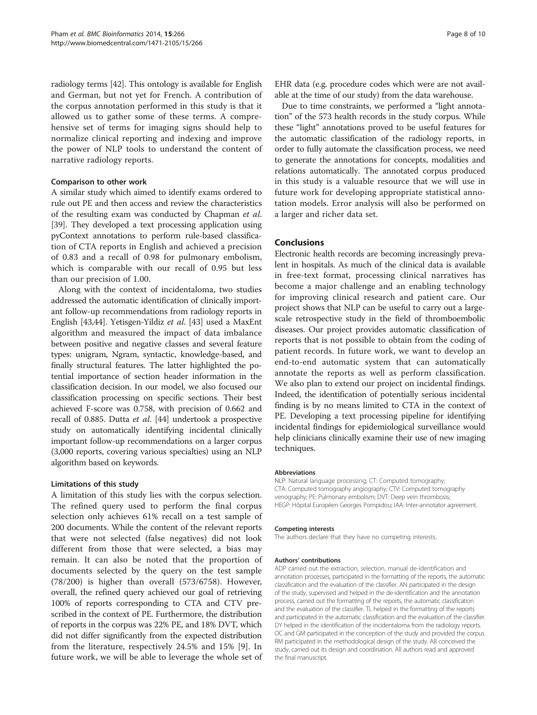radiology terms [\[42\]](#page-9-0). This ontology is available for English and German, but not yet for French. A contribution of the corpus annotation performed in this study is that it allowed us to gather some of these terms. A comprehensive set of terms for imaging signs should help to normalize clinical reporting and indexing and improve the power of NLP tools to understand the content of narrative radiology reports.

#### Comparison to other work

A similar study which aimed to identify exams ordered to rule out PE and then access and review the characteristics of the resulting exam was conducted by Chapman et al. [[39](#page-9-0)]. They developed a text processing application using pyContext annotations to perform rule-based classification of CTA reports in English and achieved a precision of 0.83 and a recall of 0.98 for pulmonary embolism, which is comparable with our recall of 0.95 but less than our precision of 1.00.

Along with the context of incidentaloma, two studies addressed the automatic identification of clinically important follow-up recommendations from radiology reports in English [\[43,44\]](#page-9-0). Yetisgen-Yildiz et al. [[43](#page-9-0)] used a MaxEnt algorithm and measured the impact of data imbalance between positive and negative classes and several feature types: unigram, Ngram, syntactic, knowledge-based, and finally structural features. The latter highlighted the potential importance of section header information in the classification decision. In our model, we also focused our classification processing on specific sections. Their best achieved F-score was 0.758, with precision of 0.662 and recall of 0.885. Dutta et al. [\[44\]](#page-9-0) undertook a prospective study on automatically identifying incidental clinically important follow-up recommendations on a larger corpus (3,000 reports, covering various specialties) using an NLP algorithm based on keywords.

#### Limitations of this study

A limitation of this study lies with the corpus selection. The refined query used to perform the final corpus selection only achieves 61% recall on a test sample of 200 documents. While the content of the relevant reports that were not selected (false negatives) did not look different from those that were selected, a bias may remain. It can also be noted that the proportion of documents selected by the query on the test sample (78/200) is higher than overall (573/6758). However, overall, the refined query achieved our goal of retrieving 100% of reports corresponding to CTA and CTV prescribed in the context of PE. Furthermore, the distribution of reports in the corpus was 22% PE, and 18% DVT, which did not differ significantly from the expected distribution from the literature, respectively 24.5% and 15% [\[9](#page-8-0)]. In future work, we will be able to leverage the whole set of EHR data (e.g. procedure codes which were are not available at the time of our study) from the data warehouse.

Due to time constraints, we performed a "light annotation" of the 573 health records in the study corpus. While these "light" annotations proved to be useful features for the automatic classification of the radiology reports, in order to fully automate the classification process, we need to generate the annotations for concepts, modalities and relations automatically. The annotated corpus produced in this study is a valuable resource that we will use in future work for developing appropriate statistical annotation models. Error analysis will also be performed on a larger and richer data set.

## Conclusions

Electronic health records are becoming increasingly prevalent in hospitals. As much of the clinical data is available in free-text format, processing clinical narratives has become a major challenge and an enabling technology for improving clinical research and patient care. Our project shows that NLP can be useful to carry out a largescale retrospective study in the field of thromboembolic diseases. Our project provides automatic classification of reports that is not possible to obtain from the coding of patient records. In future work, we want to develop an end-to-end automatic system that can automatically annotate the reports as well as perform classification. We also plan to extend our project on incidental findings. Indeed, the identification of potentially serious incidental finding is by no means limited to CTA in the context of PE. Developing a text processing pipeline for identifying incidental findings for epidemiological surveillance would help clinicians clinically examine their use of new imaging techniques.

#### Abbreviations

NLP: Natural language processing; CT: Computed tomography; CTA: Computed tomography angiography; CTV: Computed tomography venography; PE: Pulmonary embolism; DVT: Deep vein thrombosis; HEGP: Hôpital Européen Georges Pompidou; IAA: Inter-annotator agreement.

#### Competing interests

The authors declare that they have no competing interests.

#### Authors' contributions

ADP carried out the extraction, selection, manual de-identification and annotation processes, participated in the formatting of the reports, the automatic classification and the evaluation of the classifier. AN participated in the design of the study, supervised and helped in the de-identification and the annotation process, carried out the formatting of the reports, the automatic classification and the evaluation of the classifier. TL helped in the formatting of the reports and participated in the automatic classification and the evaluation of the classifier. DY helped in the identification of the incidentaloma from the radiology reports. OC and GM participated in the conception of the study and provided the corpus. RM participated in the methodological design of the study. AB conceived the study, carried out its design and coordination. All authors read and approved the final manuscript.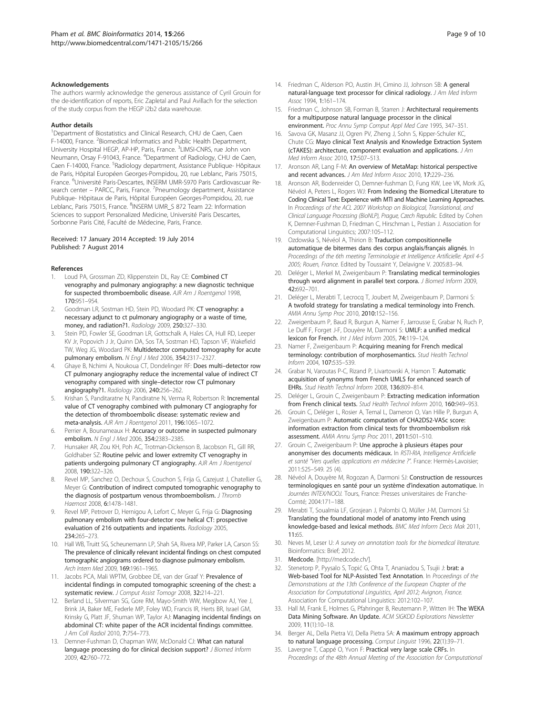#### <span id="page-8-0"></span>Acknowledgements

The authors warmly acknowledge the generous assistance of Cyril Grouin for the de-identification of reports, Eric Zapletal and Paul Avillach for the selection of the study corpus from the HEGP i2b2 data warehouse.

#### Author details

<sup>1</sup>Department of Biostatistics and Clinical Research, CHU de Caen, Caen F-14000, France. <sup>2</sup>Biomedical Informatics and Public Health Department, University Hospital HEGP, AP-HP, Paris, France. <sup>3</sup>LIMSI-CNRS, rue John von Neumann, Orsay F-91043, France. <sup>4</sup>Department of Radiology, CHU de Caen, Caen F-14000, France. <sup>5</sup>Radiology department, Assistance Publique- Hôpitaux de Paris, Hôpital Européen Georges-Pompidou, 20, rue Leblanc, Paris 75015, France. <sup>6</sup>Université Paris-Descartes, INSERM UMR-S970 Paris Cardiovascuar Research center – PARCC, Paris, France. <sup>7</sup>Pneumology department, Assistance Publique- Hôpitaux de Paris, Hôpital Européen Georges-Pompidou, 20, rue Leblanc, Paris 75015, France. <sup>8</sup>INSERM UMR\_S 872 Team 22: Information Sciences to support Personalized Medicine, Université Paris Descartes, Sorbonne Paris Cité, Faculté de Médecine, Paris, France.

#### Received: 17 January 2014 Accepted: 19 July 2014 Published: 7 August 2014

#### References

- 1. Loud PA, Grossman ZD, Klippenstein DL, Ray CE: Combined CT venography and pulmonary angiography: a new diagnostic technique for suspected thromboembolic disease. AJR Am J Roentgenol 1998, 170:951–954.
- 2. Goodman LR, Sostman HD, Stein PD, Woodard PK: CT venography: a necessary adjunct to ct pulmonary angiography or a waste of time, money, and radiation?1. Radiology 2009, 250:327–330.
- Stein PD, Fowler SE, Goodman LR, Gottschalk A, Hales CA, Hull RD, Leeper KV Jr, Popovich J Jr, Quinn DA, Sos TA, Sostman HD, Tapson VF, Wakefield TW, Weg JG, Woodard PK: Multidetector computed tomography for acute pulmonary embolism. N Engl J Med 2006, 354:2317–2327.
- Ghaye B, Nchimi A, Noukoua CT, Dondelinger RF: Does multi-detector row CT pulmonary angiography reduce the incremental value of indirect CT venography compared with single–detector row CT pulmonary angiography?1. Radiology 2006, 240:256–262.
- Krishan S, Panditaratne N, Pandiratne N, Verma R, Robertson R: Incremental value of CT venography combined with pulmonary CT angiography for the detection of thromboembolic disease: systematic review and meta-analysis. AJR Am J Roentgenol 2011, 196:1065–1072.
- 6. Perrier A, Bounameaux H: Accuracy or outcome in suspected pulmonary embolism. N Engl J Med 2006, 354:2383–2385.
- 7. Hunsaker AR, Zou KH, Poh AC, Trotman-Dickenson B, Jacobson FL, Gill RR, Goldhaber SZ: Routine pelvic and lower extremity CT venography in patients undergoing pulmonary CT angiography. AJR Am J Roentgenol 2008, 190:322–326.
- 8. Revel MP, Sanchez O, Dechoux S, Couchon S, Frija G, Cazejust J, Chatellier G, Meyer G: Contribution of indirect computed tomographic venography to the diagnosis of postpartum venous thromboembolism. J Thromb Haemost 2008, 6:1478–1481.
- Revel MP, Petrover D, Hernigou A, Lefort C, Meyer G, Frija G: Diagnosing pulmonary embolism with four-detector row helical CT: prospective evaluation of 216 outpatients and inpatients. Radiology 2005, 234:265–273.
- 10. Hall WB, Truitt SG, Scheunemann LP, Shah SA, Rivera MP, Parker LA, Carson SS: The prevalence of clinically relevant incidental findings on chest computed tomographic angiograms ordered to diagnose pulmonary embolism. Arch Intern Med 2009, 169:1961–1965.
- 11. Jacobs PCA, Mali WPTM, Grobbee DE, van der Graaf Y: Prevalence of incidental findings in computed tomographic screening of the chest: a systematic review. J Comput Assist Tomogr 2008, 32:214–221.
- 12. Berland LL, Silverman SG, Gore RM, Mayo-Smith WW, Megibow AJ, Yee J, Brink JA, Baker ME, Federle MP, Foley WD, Francis IR, Herts BR, Israel GM, Krinsky G, Platt JF, Shuman WP, Taylor AJ: Managing incidental findings on abdominal CT: white paper of the ACR incidental findings committee. J Am Coll Radiol 2010, 7:754–773.
- 13. Demner-Fushman D, Chapman WW, McDonald CJ: What can natural language processing do for clinical decision support? J Biomed Inform 2009, 42:760–772.
- 14. Friedman C, Alderson PO, Austin JH, Cimino JJ, Johnson SB: A general natural-language text processor for clinical radiology. J Am Med Inform Assoc 1994, 1:161–174.
- 15. Friedman C, Johnson SB, Forman B, Starren J: Architectural requirements for a multipurpose natural language processor in the clinical environment. Proc Annu Symp Comput Appl Med Care 1995, 347–351.
- 16. Savova GK, Masanz JJ, Ogren PV, Zheng J, Sohn S, Kipper-Schuler KC, Chute CG: Mayo clinical Text Analysis and Knowledge Extraction System (cTAKES): architecture, component evaluation and applications. J Am Med Inform Assoc 2010, 17:507–513.
- 17. Aronson AR, Lang F-M: An overview of MetaMap: historical perspective and recent advances. J Am Med Inform Assoc 2010, 17:229–236.
- 18. Aronson AR, Bodenreider O, Demner-fushman D, Fung KW, Lee VK, Mork JG, Névéol A, Peters L, Rogers WJ: From Indexing the Biomedical Literature to Coding Clinical Text: Experience with MTI and Machine Learning Approaches. In Proceedings of the ACL 2007 Workshop on Biological, Translational, and Clinical Language Processing (BioNLP), Prague, Czech Republic. Edited by Cohen K, Demner-Fushman D, Friedman C, Hirschman L, Pestian J. Association for Computational Linguistics; 2007:105–112.
- 19. Ozdowska S, Névéol A, Thirion B: Traduction compositionnelle automatique de bitermes dans des corpus anglais/français alignés. In Proceedings of the 6th meeting Terminologie et Intelligence Artificielle: April 4-5 2005; Rouen, France. Edited by Toussaint Y, Delavigne V. 2005:83–94.
- 20. Deléger L, Merkel M, Zweigenbaum P: Translating medical terminologies through word alignment in parallel text corpora. J Biomed Inform 2009, 42:692–701.
- 21. Deléger L, Merabti T, Lecrocq T, Joubert M, Zweigenbaum P, Darmoni S: A twofold strategy for translating a medical terminology into French. AMIA Annu Symp Proc 2010, 2010:152–156.
- 22. Zweigenbaum P, Baud R, Burgun A, Namer F, Jarrousse E, Grabar N, Ruch P, Le Duff F, Forget J-F, Douyère M, Darmoni S: UMLF: a unified medical lexicon for French. Int J Med Inform 2005, 74:119–124.
- 23. Namer F, Zweigenbaum P: Acquiring meaning for French medical terminology: contribution of morphosemantics. Stud Health Technol Inform 2004, 107:535–539.
- 24. Grabar N, Varoutas P-C, Rizand P, Livartowski A, Hamon T: Automatic acquisition of synonyms from French UMLS for enhanced search of EHRs. Stud Health Technol Inform 2008, 136:809–814.
- 25. Deléger L, Grouin C, Zweigenbaum P: Extracting medication information from French clinical texts. Stud Health Technol Inform 2010, 160:949-953.
- 26. Grouin C, Deléger L, Rosier A, Temal L, Dameron O, Van Hille P, Burgun A, Zweigenbaum P: Automatic computation of CHA2DS2-VASc score: information extraction from clinical texts for thromboembolism risk assessment. AMIA Annu Symp Proc 2011, 2011:501–510.
- 27. Grouin C, Zweigenbaum P: Une approche à plusieurs étapes pour anonymiser des documents médicaux. In RSTI-RIA, Intelligence Artificielle et santé "Vers quelles applications en médecine ?". France: Hermès-Lavoisier; 2011:525–549. 25 (4).
- 28. Névéol A, Douyère M, Rogozan A, Darmoni SJ: Construction de ressources terminologiques en santé pour un système d'indexation automatique. In Journées INTEX/NOOJ. Tours, France: Presses universitaires de Franche-Comté; 2004:171–188.
- 29. Merabti T, Soualmia LF, Grosjean J, Palombi O, Müller J-M, Darmoni SJ: Translating the foundational model of anatomy into French using knowledge-based and lexical methods. BMC Med Inform Decis Mak 2011, 11:65.
- 30. Neves M, Leser U: A survey on annotation tools for the biomedical literature. Bioinformatics: Brief; 2012.
- 31. Medcode. [\[http://medcode.ch/\]](http://medcode.ch/search/ch/fr/icd).
- 32. Stenetorp P, Pyysalo S, Topić G, Ohta T, Ananiadou S, Tsujii J: brat: a Web-based Tool for NLP-Assisted Text Annotation. In Proceedings of the Demonstrations at the 13th Conference of the European Chapter of the Association for Computational Linguistics, April 2012; Avignon, France. Association for Computational Linguistics: 2012:102–107.
- 33. Hall M, Frank E, Holmes G, Pfahringer B, Reutemann P, Witten IH: The WEKA Data Mining Software. An Update. ACM SIGKDD Explorations Newsletter 2009, 11(1):10–18.
- 34. Berger AL, Della Pietra VJ, Della Pietra SA: A maximum entropy approach to natural language processing. Comput Linguist 1996, 22(1):39–71.
- 35. Lavergne T, Cappé O, Yvon F: Practical very large scale CRFs. In Proceedings of the 48th Annual Meeting of the Association for Computational